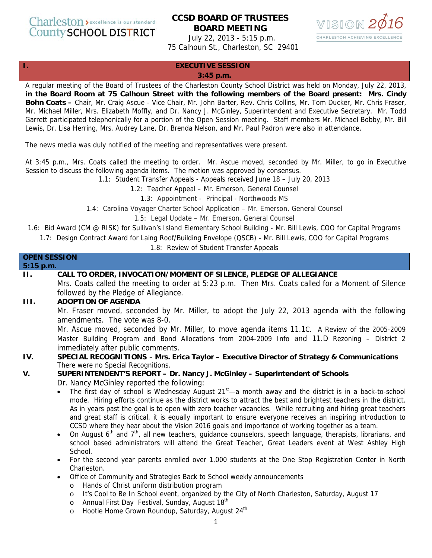Charleston > excellence is our standard **County SCHOOL DISTRICT** 

# **CCSD BOARD OF TRUSTEES BOARD MEETING**



July 22, 2013 - 5:15 p.m. 75 Calhoun St., Charleston, SC 29401

#### **I. EXECUTIVE SESSION**

#### **3:45 p.m.**

A regular meeting of the Board of Trustees of the Charleston County School District was held on Monday, July 22, 2013, **in the Board Room at 75 Calhoun Street with the following members of the Board present: Mrs. Cindy Bohn Coats –** Chair, Mr. Craig Ascue - Vice Chair, Mr. John Barter, Rev. Chris Collins, Mr. Tom Ducker, Mr. Chris Fraser, Mr. Michael Miller, Mrs. Elizabeth Moffly, and Dr. Nancy J. McGinley, Superintendent and Executive Secretary. Mr. Todd Garrett participated telephonically for a portion of the Open Session meeting. Staff members Mr. Michael Bobby, Mr. Bill Lewis, Dr. Lisa Herring, Mrs. Audrey Lane, Dr. Brenda Nelson, and Mr. Paul Padron were also in attendance.

The news media was duly notified of the meeting and representatives were present.

At 3:45 p.m., Mrs. Coats called the meeting to order. Mr. Ascue moved, seconded by Mr. Miller, to go in Executive Session to discuss the following agenda items. The motion was approved by consensus.

1.1: Student Transfer Appeals - Appeals received June 18 – July 20, 2013

1.2: Teacher Appeal – Mr. Emerson, General Counsel

1.3: Appointment - Principal - Northwoods MS

1.4: Carolina Voyager Charter School Application – Mr. Emerson, General Counsel

1.5: Legal Update – Mr. Emerson, General Counsel

1.6: Bid Award (CM @ RISK) for Sullivan's Island Elementary School Building - Mr. Bill Lewis, COO for Capital Programs

1.7: Design Contract Award for Laing Roof/Building Envelope (QSCB) - Mr. Bill Lewis, COO for Capital Programs

1.8: Review of Student Transfer Appeals

| <b>OPEN SESSION</b> |                                                                                                                                                                                                                                                                                                                                                                                                                                                                                                                                                                                                                                                                                                                                                                                                                                                                                                                                      |
|---------------------|--------------------------------------------------------------------------------------------------------------------------------------------------------------------------------------------------------------------------------------------------------------------------------------------------------------------------------------------------------------------------------------------------------------------------------------------------------------------------------------------------------------------------------------------------------------------------------------------------------------------------------------------------------------------------------------------------------------------------------------------------------------------------------------------------------------------------------------------------------------------------------------------------------------------------------------|
| 5:15 p.m.           |                                                                                                                                                                                                                                                                                                                                                                                                                                                                                                                                                                                                                                                                                                                                                                                                                                                                                                                                      |
| Н.                  | CALL TO ORDER, INVOCATION/MOMENT OF SILENCE, PLEDGE OF ALLEGIANCE<br>Mrs. Coats called the meeting to order at 5:23 p.m. Then Mrs. Coats called for a Moment of Silence                                                                                                                                                                                                                                                                                                                                                                                                                                                                                                                                                                                                                                                                                                                                                              |
|                     | followed by the Pledge of Allegiance.                                                                                                                                                                                                                                                                                                                                                                                                                                                                                                                                                                                                                                                                                                                                                                                                                                                                                                |
| <b>III.</b>         | <b>ADOPTION OF AGENDA</b>                                                                                                                                                                                                                                                                                                                                                                                                                                                                                                                                                                                                                                                                                                                                                                                                                                                                                                            |
|                     | Mr. Fraser moved, seconded by Mr. Miller, to adopt the July 22, 2013 agenda with the following<br>amendments. The vote was 8-0.                                                                                                                                                                                                                                                                                                                                                                                                                                                                                                                                                                                                                                                                                                                                                                                                      |
|                     | Mr. Ascue moved, seconded by Mr. Miller, to move agenda items 11.1C. A Review of the 2005-2009                                                                                                                                                                                                                                                                                                                                                                                                                                                                                                                                                                                                                                                                                                                                                                                                                                       |
|                     | Master Building Program and Bond Allocations from 2004-2009 Info and 11.D Rezoning - District 2                                                                                                                                                                                                                                                                                                                                                                                                                                                                                                                                                                                                                                                                                                                                                                                                                                      |
|                     | immediately after public comments.                                                                                                                                                                                                                                                                                                                                                                                                                                                                                                                                                                                                                                                                                                                                                                                                                                                                                                   |
| IV.                 | SPECIAL RECOGNITIONS - Mrs. Erica Taylor - Executive Director of Strategy & Communications                                                                                                                                                                                                                                                                                                                                                                                                                                                                                                                                                                                                                                                                                                                                                                                                                                           |
|                     | There were no Special Recognitions.                                                                                                                                                                                                                                                                                                                                                                                                                                                                                                                                                                                                                                                                                                                                                                                                                                                                                                  |
| V.                  | SUPERINTENDENT'S REPORT - Dr. Nancy J. McGinley - Superintendent of Schools                                                                                                                                                                                                                                                                                                                                                                                                                                                                                                                                                                                                                                                                                                                                                                                                                                                          |
|                     | Dr. Nancy McGinley reported the following:                                                                                                                                                                                                                                                                                                                                                                                                                                                                                                                                                                                                                                                                                                                                                                                                                                                                                           |
|                     | The first day of school is Wednesday August $21st$ a month away and the district is in a back-to-school<br>mode. Hiring efforts continue as the district works to attract the best and brightest teachers in the district.<br>As in years past the goal is to open with zero teacher vacancies. While recruiting and hiring great teachers<br>and great staff is critical, it is equally important to ensure everyone receives an inspiring introduction to<br>CCSD where they hear about the Vision 2016 goals and importance of working together as a team.<br>On August $6th$ and $7th$ , all new teachers, guidance counselors, speech language, therapists, librarians, and<br>$\bullet$<br>school based administrators will attend the Great Teacher, Great Leaders event at West Ashley High<br>School.<br>For the second year parents enrolled over 1,000 students at the One Stop Registration Center in North<br>$\bullet$ |
|                     | Charleston.                                                                                                                                                                                                                                                                                                                                                                                                                                                                                                                                                                                                                                                                                                                                                                                                                                                                                                                          |
|                     | Office of Community and Strategies Back to School weekly announcements<br>$\bullet$                                                                                                                                                                                                                                                                                                                                                                                                                                                                                                                                                                                                                                                                                                                                                                                                                                                  |
|                     | Hands of Christ uniform distribution program<br>$\circ$                                                                                                                                                                                                                                                                                                                                                                                                                                                                                                                                                                                                                                                                                                                                                                                                                                                                              |
|                     | It's Cool to Be In School event, organized by the City of North Charleston, Saturday, August 17<br>$\circ$                                                                                                                                                                                                                                                                                                                                                                                                                                                                                                                                                                                                                                                                                                                                                                                                                           |
|                     | Annual First Day Festival, Sunday, August 18th<br>$\circ$                                                                                                                                                                                                                                                                                                                                                                                                                                                                                                                                                                                                                                                                                                                                                                                                                                                                            |
|                     | Hootie Home Grown Roundup, Saturday, August 24th<br>$\circ$                                                                                                                                                                                                                                                                                                                                                                                                                                                                                                                                                                                                                                                                                                                                                                                                                                                                          |
|                     | $\mathbf{1}$                                                                                                                                                                                                                                                                                                                                                                                                                                                                                                                                                                                                                                                                                                                                                                                                                                                                                                                         |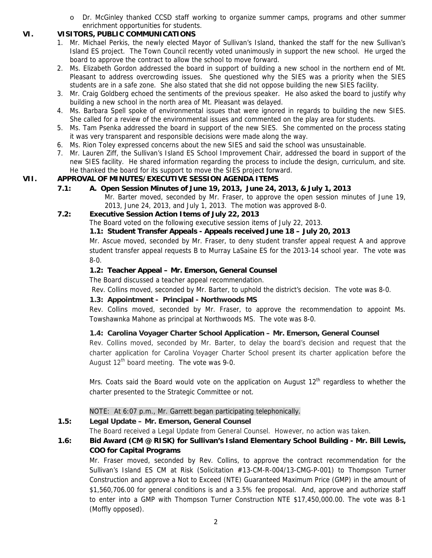o Dr. McGinley thanked CCSD staff working to organize summer camps, programs and other summer enrichment opportunities for students.

## **VI. VISITORS, PUBLIC COMMUNICATIONS**

- 1. Mr. Michael Perkis, the newly elected Mayor of Sullivan's Island, thanked the staff for the new Sullivan's Island ES project. The Town Council recently voted unanimously in support the new school. He urged the board to approve the contract to allow the school to move forward.
- 2. Ms. Elizabeth Gordon addressed the board in support of building a new school in the northern end of Mt. Pleasant to address overcrowding issues. She questioned why the SIES was a priority when the SIES students are in a safe zone. She also stated that she did not oppose building the new SIES facility.
- 3. Mr. Craig Goldberg echoed the sentiments of the previous speaker. He also asked the board to justify why building a new school in the north area of Mt. Pleasant was delayed.
- 4. Ms. Barbara Spell spoke of environmental issues that were ignored in regards to building the new SIES. She called for a review of the environmental issues and commented on the play area for students.
- 5. Ms. Tam Psenka addressed the board in support of the new SIES. She commented on the process stating it was very transparent and responsible decisions were made along the way.
- 6. Ms. Rion Toley expressed concerns about the new SIES and said the school was unsustainable.
- 7. Mr. Lauren Ziff, the Sullivan's Island ES School Improvement Chair, addressed the board in support of the new SIES facility. He shared information regarding the process to include the design, curriculum, and site. He thanked the board for its support to move the SIES project forward.

## **VII. APPROVAL OF MINUTES/EXECUTIVE SESSION AGENDA ITEMS**

**7.1: A. Open Session Minutes of June 19, 2013, June 24, 2013, & July 1, 2013**  Mr. Barter moved, seconded by Mr. Fraser, to approve the open session minutes of June 19, 2013, June 24, 2013, and July 1, 2013. The motion was approved 8-0.

## **7.2: Executive Session Action Items of July 22, 2013**

The Board voted on the following executive session items of July 22, 2013.

## **1.1: Student Transfer Appeals - Appeals received June 18 – July 20, 2013**

Mr. Ascue moved, seconded by Mr. Fraser, to deny student transfer appeal request A and approve student transfer appeal requests B to Murray LaSaine ES for the 2013-14 school year. The vote was 8-0.

## **1.2: Teacher Appeal – Mr. Emerson, General Counsel**

The Board discussed a teacher appeal recommendation.

Rev. Collins moved, seconded by Mr. Barter, to uphold the district's decision. The vote was 8-0.

## **1.3: Appointment - Principal - Northwoods MS**

Rev. Collins moved, seconded by Mr. Fraser, to approve the recommendation to appoint Ms. Towshawnka Mahone as principal at Northwoods MS. The vote was 8-0.

## **1.4: Carolina Voyager Charter School Application – Mr. Emerson, General Counsel**

Rev. Collins moved, seconded by Mr. Barter, to delay the board's decision and request that the charter application for Carolina Voyager Charter School present its charter application before the August  $12<sup>th</sup>$  board meeting. The vote was 9-0.

Mrs. Coats said the Board would vote on the application on August  $12<sup>th</sup>$  regardless to whether the charter presented to the Strategic Committee or not.

## NOTE: At 6:07 p.m., Mr. Garrett began participating telephonically.

## **1.5: Legal Update – Mr. Emerson, General Counsel**

The Board received a Legal Update from General Counsel. However, no action was taken.

## **1.6: Bid Award (CM @ RISK) for Sullivan's Island Elementary School Building - Mr. Bill Lewis, COO for Capital Programs**

Mr. Fraser moved, seconded by Rev. Collins, to approve the contract recommendation for the Sullivan's Island ES CM at Risk (Solicitation #13-CM-R-004/13-CMG-P-001) to Thompson Turner Construction and approve a Not to Exceed (NTE) Guaranteed Maximum Price (GMP) in the amount of \$1,560,706.00 for general conditions is and a 3.5% fee proposal. And, approve and authorize staff to enter into a GMP with Thompson Turner Construction NTE \$17,450,000.00. The vote was 8-1 (Moffly opposed).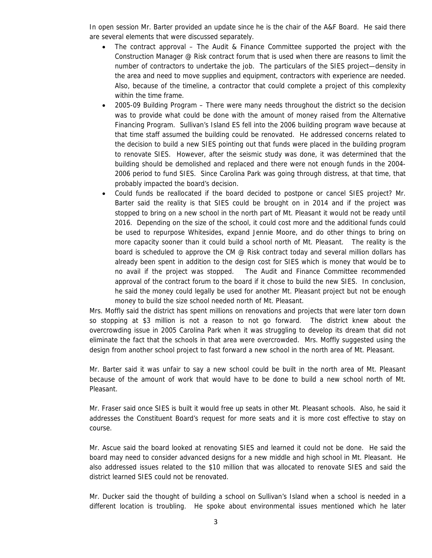In open session Mr. Barter provided an update since he is the chair of the A&F Board. He said there are several elements that were discussed separately.

- The contract approval The Audit & Finance Committee supported the project with the Construction Manager @ Risk contract forum that is used when there are reasons to limit the number of contractors to undertake the job. The particulars of the SIES project—density in the area and need to move supplies and equipment, contractors with experience are needed. Also, because of the timeline, a contractor that could complete a project of this complexity within the time frame.
- 2005-09 Building Program There were many needs throughout the district so the decision was to provide what could be done with the amount of money raised from the Alternative Financing Program. Sullivan's Island ES fell into the 2006 building program wave because at that time staff assumed the building could be renovated. He addressed concerns related to the decision to build a new SIES pointing out that funds were placed in the building program to renovate SIES. However, after the seismic study was done, it was determined that the building should be demolished and replaced and there were not enough funds in the 2004- 2006 period to fund SIES. Since Carolina Park was going through distress, at that time, that probably impacted the board's decision.
- Could funds be reallocated if the board decided to postpone or cancel SIES project? Mr. Barter said the reality is that SIES could be brought on in 2014 and if the project was stopped to bring on a new school in the north part of Mt. Pleasant it would not be ready until 2016. Depending on the size of the school, it could cost more and the additional funds could be used to repurpose Whitesides, expand Jennie Moore, and do other things to bring on more capacity sooner than it could build a school north of Mt. Pleasant. The reality is the board is scheduled to approve the CM @ Risk contract today and several million dollars has already been spent in addition to the design cost for SIES which is money that would be to no avail if the project was stopped. The Audit and Finance Committee recommended approval of the contract forum to the board if it chose to build the new SIES. In conclusion, he said the money could legally be used for another Mt. Pleasant project but not be enough money to build the size school needed north of Mt. Pleasant.

Mrs. Moffly said the district has spent millions on renovations and projects that were later torn down so stopping at \$3 million is not a reason to not go forward. The district knew about the overcrowding issue in 2005 Carolina Park when it was struggling to develop its dream that did not eliminate the fact that the schools in that area were overcrowded. Mrs. Moffly suggested using the design from another school project to fast forward a new school in the north area of Mt. Pleasant.

Mr. Barter said it was unfair to say a new school could be built in the north area of Mt. Pleasant because of the amount of work that would have to be done to build a new school north of Mt. Pleasant.

Mr. Fraser said once SIES is built it would free up seats in other Mt. Pleasant schools. Also, he said it addresses the Constituent Board's request for more seats and it is more cost effective to stay on course.

Mr. Ascue said the board looked at renovating SIES and learned it could not be done. He said the board may need to consider advanced designs for a new middle and high school in Mt. Pleasant. He also addressed issues related to the \$10 million that was allocated to renovate SIES and said the district learned SIES could not be renovated.

Mr. Ducker said the thought of building a school on Sullivan's Island when a school is needed in a different location is troubling. He spoke about environmental issues mentioned which he later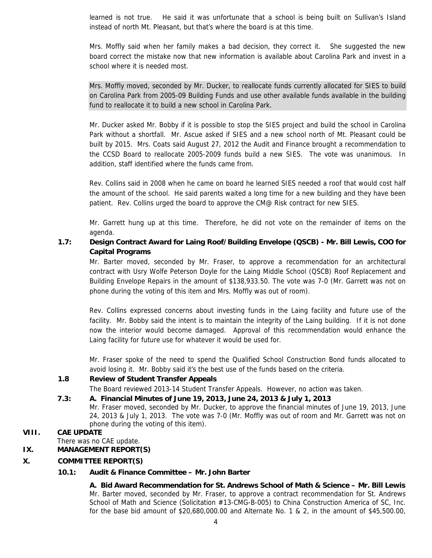learned is not true. He said it was unfortunate that a school is being built on Sullivan's Island instead of north Mt. Pleasant, but that's where the board is at this time.

Mrs. Moffly said when her family makes a bad decision, they correct it. She suggested the new board correct the mistake now that new information is available about Carolina Park and invest in a school where it is needed most.

Mrs. Moffly moved, seconded by Mr. Ducker, to reallocate funds currently allocated for SIES to build on Carolina Park from 2005-09 Building Funds and use other available funds available in the building fund to reallocate it to build a new school in Carolina Park.

Mr. Ducker asked Mr. Bobby if it is possible to stop the SIES project and build the school in Carolina Park without a shortfall. Mr. Ascue asked if SIES and a new school north of Mt. Pleasant could be built by 2015. Mrs. Coats said August 27, 2012 the Audit and Finance brought a recommendation to the CCSD Board to reallocate 2005-2009 funds build a new SIES. The vote was unanimous. In addition, staff identified where the funds came from.

Rev. Collins said in 2008 when he came on board he learned SIES needed a roof that would cost half the amount of the school. He said parents waited a long time for a new building and they have been patient. Rev. Collins urged the board to approve the CM@ Risk contract for new SIES.

Mr. Garrett hung up at this time. Therefore, he did not vote on the remainder of items on the agenda.

## **1.7: Design Contract Award for Laing Roof/Building Envelope (QSCB) - Mr. Bill Lewis, COO for Capital Programs**

Mr. Barter moved, seconded by Mr. Fraser, to approve a recommendation for an architectural contract with Usry Wolfe Peterson Doyle for the Laing Middle School (QSCB) Roof Replacement and Building Envelope Repairs in the amount of \$138,933.50. The vote was 7-0 (Mr. Garrett was not on phone during the voting of this item and Mrs. Moffly was out of room).

Rev. Collins expressed concerns about investing funds in the Laing facility and future use of the facility. Mr. Bobby said the intent is to maintain the integrity of the Laing building. If it is not done now the interior would become damaged. Approval of this recommendation would enhance the Laing facility for future use for whatever it would be used for.

Mr. Fraser spoke of the need to spend the Qualified School Construction Bond funds allocated to avoid losing it. Mr. Bobby said it's the best use of the funds based on the criteria.

## **1.8 Review of Student Transfer Appeals**

The Board reviewed 2013-14 Student Transfer Appeals. However, no action was taken.

## **7.3: A. Financial Minutes of June 19, 2013, June 24, 2013 & July 1, 2013**

Mr. Fraser moved, seconded by Mr. Ducker, to approve the financial minutes of June 19, 2013, June 24, 2013 & July 1, 2013. The vote was 7-0 (Mr. Moffly was out of room and Mr. Garrett was not on phone during the voting of this item).

## **VIII. CAE UPDATE**

There was no CAE update.

### **IX. MANAGEMENT REPORT(S)**

#### **X. COMMITTEE REPORT(S)**

#### **10.1: Audit & Finance Committee – Mr. John Barter**

 **A. Bid Award Recommendation for St. Andrews School of Math & Science – Mr. Bill Lewis** Mr. Barter moved, seconded by Mr. Fraser, to approve a contract recommendation for St. Andrews School of Math and Science (Solicitation #13-CMG-B-005) to China Construction America of SC, Inc. for the base bid amount of \$20,680,000.00 and Alternate No. 1 & 2, in the amount of \$45,500.00,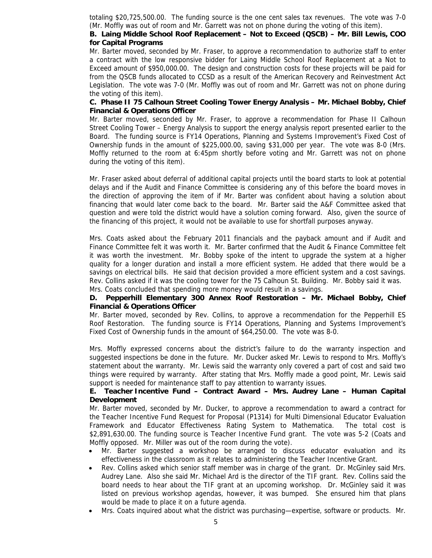totaling \$20,725,500.00. The funding source is the one cent sales tax revenues. The vote was 7-0 (Mr. Moffly was out of room and Mr. Garrett was not on phone during the voting of this item).

## **B. Laing Middle School Roof Replacement – Not to Exceed (QSCB) – Mr. Bill Lewis, COO for Capital Programs**

Mr. Barter moved, seconded by Mr. Fraser, to approve a recommendation to authorize staff to enter a contract with the low responsive bidder for Laing Middle School Roof Replacement at a Not to Exceed amount of \$950,000.00. The design and construction costs for these projects will be paid for from the QSCB funds allocated to CCSD as a result of the American Recovery and Reinvestment Act Legislation. The vote was 7-0 (Mr. Moffly was out of room and Mr. Garrett was not on phone during the voting of this item).

### **C. Phase II 75 Calhoun Street Cooling Tower Energy Analysis – Mr. Michael Bobby, Chief Financial & Operations Officer**

Mr. Barter moved, seconded by Mr. Fraser, to approve a recommendation for Phase II Calhoun Street Cooling Tower – Energy Analysis to support the energy analysis report presented earlier to the Board. The funding source is FY14 Operations, Planning and Systems Improvement's Fixed Cost of Ownership funds in the amount of \$225,000.00, saving \$31,000 per year. The vote was 8-0 (Mrs. Moffly returned to the room at 6:45pm shortly before voting and Mr. Garrett was not on phone during the voting of this item).

Mr. Fraser asked about deferral of additional capital projects until the board starts to look at potential delays and if the Audit and Finance Committee is considering any of this before the board moves in the direction of approving the item of if Mr. Barter was confident about having a solution about financing that would later come back to the board. Mr. Barter said the A&F Committee asked that question and were told the district would have a solution coming forward. Also, given the source of the financing of this project, it would not be available to use for shortfall purposes anyway.

Mrs. Coats asked about the February 2011 financials and the payback amount and if Audit and Finance Committee felt it was worth it. Mr. Barter confirmed that the Audit & Finance Committee felt it was worth the investment. Mr. Bobby spoke of the intent to upgrade the system at a higher quality for a longer duration and install a more efficient system. He added that there would be a savings on electrical bills. He said that decision provided a more efficient system and a cost savings. Rev. Collins asked if it was the cooling tower for the 75 Calhoun St. Building. Mr. Bobby said it was. Mrs. Coats concluded that spending more money would result in a savings.

## **D. Pepperhill Elementary 300 Annex Roof Restoration – Mr. Michael Bobby, Chief Financial & Operations Officer**

Mr. Barter moved, seconded by Rev. Collins, to approve a recommendation for the Pepperhill ES Roof Restoration. The funding source is FY14 Operations, Planning and Systems Improvement's Fixed Cost of Ownership funds in the amount of \$64,250.00. The vote was 8-0.

Mrs. Moffly expressed concerns about the district's failure to do the warranty inspection and suggested inspections be done in the future. Mr. Ducker asked Mr. Lewis to respond to Mrs. Moffly's statement about the warranty. Mr. Lewis said the warranty only covered a part of cost and said two things were required by warranty. After stating that Mrs. Moffly made a good point, Mr. Lewis said support is needed for maintenance staff to pay attention to warranty issues.

## **E. Teacher Incentive Fund – Contract Award – Mrs. Audrey Lane – Human Capital Development**

Mr. Barter moved, seconded by Mr. Ducker, to approve a recommendation to award a contract for the Teacher Incentive Fund Request for Proposal (P1314) for Multi Dimensional Educator Evaluation Framework and Educator Effectiveness Rating System to Mathematica. The total cost is \$2,891,630.00. The funding source is Teacher Incentive Fund grant. The vote was 5-2 (Coats and Moffly opposed. Mr. Miller was out of the room during the vote).

- Mr. Barter suggested a workshop be arranged to discuss educator evaluation and its effectiveness in the classroom as it relates to administering the Teacher Incentive Grant.
- Rev. Collins asked which senior staff member was in charge of the grant. Dr. McGinley said Mrs. Audrey Lane. Also she said Mr. Michael Ard is the director of the TIF grant. Rev. Collins said the board needs to hear about the TIF grant at an upcoming workshop. Dr. McGinley said it was listed on previous workshop agendas, however, it was bumped. She ensured him that plans would be made to place it on a future agenda.
- Mrs. Coats inquired about what the district was purchasing—expertise, software or products. Mr.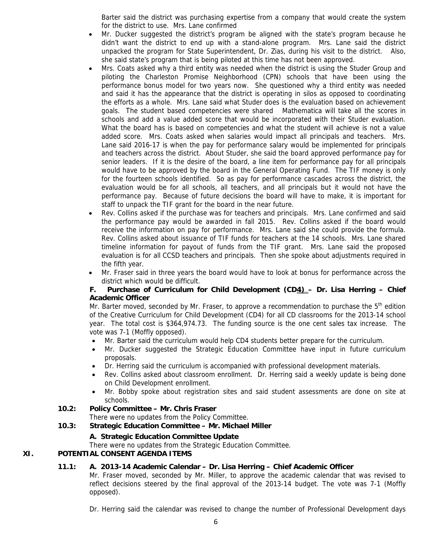Barter said the district was purchasing expertise from a company that would create the system for the district to use. Mrs. Lane confirmed

- Mr. Ducker suggested the district's program be aligned with the state's program because he didn't want the district to end up with a stand-alone program. Mrs. Lane said the district unpacked the program for State Superintendent, Dr. Zias, during his visit to the district. Also, she said state's program that is being piloted at this time has not been approved.
- Mrs. Coats asked why a third entity was needed when the district is using the Studer Group and piloting the Charleston Promise Neighborhood (CPN) schools that have been using the performance bonus model for two years now. She questioned why a third entity was needed and said it has the appearance that the district is operating in silos as opposed to coordinating the efforts as a whole. Mrs. Lane said what Studer does is the evaluation based on achievement goals. The student based competencies were shared Mathematica will take all the scores in schools and add a value added score that would be incorporated with their Studer evaluation. What the board has is based on competencies and what the student will achieve is not a value added score. Mrs. Coats asked when salaries would impact all principals and teachers. Mrs. Lane said 2016-17 is when the pay for performance salary would be implemented for principals and teachers across the district. About Studer, she said the board approved performance pay for senior leaders. If it is the desire of the board, a line item for performance pay for all principals would have to be approved by the board in the General Operating Fund. The TIF money is only for the fourteen schools identified. So as pay for performance cascades across the district, the evaluation would be for all schools, all teachers, and all principals but it would not have the performance pay. Because of future decisions the board will have to make, it is important for staff to unpack the TIF grant for the board in the near future.
- Rev. Collins asked if the purchase was for teachers and principals. Mrs. Lane confirmed and said the performance pay would be awarded in fall 2015. Rev. Collins asked if the board would receive the information on pay for performance. Mrs. Lane said she could provide the formula. Rev. Collins asked about issuance of TIF funds for teachers at the 14 schools. Mrs. Lane shared timeline information for payout of funds from the TIF grant. Mrs. Lane said the proposed evaluation is for all CCSD teachers and principals. Then she spoke about adjustments required in the fifth year.
- Mr. Fraser said in three years the board would have to look at bonus for performance across the district which would be difficult.

## **F. Purchase of Curriculum for Child Development (CD4) – Dr. Lisa Herring – Chief Academic Officer**

Mr. Barter moved, seconded by Mr. Fraser, to approve a recommendation to purchase the 5<sup>th</sup> edition of the Creative Curriculum for Child Development (CD4) for all CD classrooms for the 2013-14 school year. The total cost is \$364,974.73. The funding source is the one cent sales tax increase. The vote was 7-1 (Moffly opposed).

- Mr. Barter said the curriculum would help CD4 students better prepare for the curriculum.
- Mr. Ducker suggested the Strategic Education Committee have input in future curriculum proposals.
- Dr. Herring said the curriculum is accompanied with professional development materials.
- Rev. Collins asked about classroom enrollment. Dr. Herring said a weekly update is being done on Child Development enrollment.
- Mr. Bobby spoke about registration sites and said student assessments are done on site at schools.

## **10.2: Policy Committee – Mr. Chris Fraser**

There were no updates from the Policy Committee.

## **10.3: Strategic Education Committee – Mr. Michael Miller**

#### **A. Strategic Education Committee Update**

There were no updates from the Strategic Education Committee.

## **XI. POTENTIAL CONSENT AGENDA ITEMS**

#### **11.1: A. 2013-14 Academic Calendar – Dr. Lisa Herring – Chief Academic Officer**

Mr. Fraser moved, seconded by Mr. Miller, to approve the academic calendar that was revised to reflect decisions steered by the final approval of the 2013-14 budget. The vote was 7-1 (Moffly opposed).

Dr. Herring said the calendar was revised to change the number of Professional Development days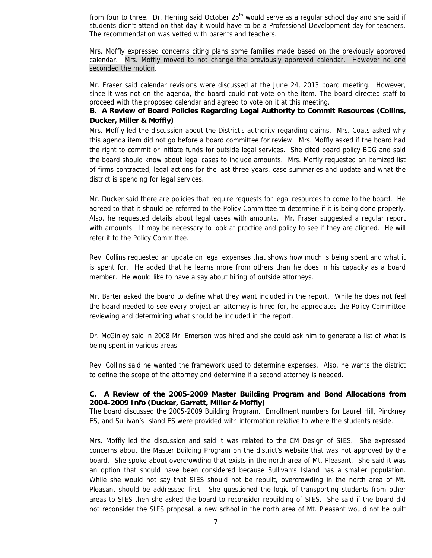from four to three. Dr. Herring said October  $25<sup>th</sup>$  would serve as a regular school day and she said if students didn't attend on that day it would have to be a Professional Development day for teachers. The recommendation was vetted with parents and teachers.

Mrs. Moffly expressed concerns citing plans some families made based on the previously approved calendar. Mrs. Moffly moved to not change the previously approved calendar. However no one seconded the motion.

Mr. Fraser said calendar revisions were discussed at the June 24, 2013 board meeting. However, since it was not on the agenda, the board could not vote on the item. The board directed staff to proceed with the proposed calendar and agreed to vote on it at this meeting.

## **B. A Review of Board Policies Regarding Legal Authority to Commit Resources (Collins, Ducker, Miller & Moffly)**

Mrs. Moffly led the discussion about the District's authority regarding claims. Mrs. Coats asked why this agenda item did not go before a board committee for review. Mrs. Moffly asked if the board had the right to commit or initiate funds for outside legal services. She cited board policy BDG and said the board should know about legal cases to include amounts. Mrs. Moffly requested an itemized list of firms contracted, legal actions for the last three years, case summaries and update and what the district is spending for legal services.

Mr. Ducker said there are policies that require requests for legal resources to come to the board. He agreed to that it should be referred to the Policy Committee to determine if it is being done properly. Also, he requested details about legal cases with amounts. Mr. Fraser suggested a regular report with amounts. It may be necessary to look at practice and policy to see if they are aligned. He will refer it to the Policy Committee.

Rev. Collins requested an update on legal expenses that shows how much is being spent and what it is spent for. He added that he learns more from others than he does in his capacity as a board member. He would like to have a say about hiring of outside attorneys.

Mr. Barter asked the board to define what they want included in the report. While he does not feel the board needed to see every project an attorney is hired for, he appreciates the Policy Committee reviewing and determining what should be included in the report.

Dr. McGinley said in 2008 Mr. Emerson was hired and she could ask him to generate a list of what is being spent in various areas.

Rev. Collins said he wanted the framework used to determine expenses. Also, he wants the district to define the scope of the attorney and determine if a second attorney is needed.

### **C. A Review of the 2005-2009 Master Building Program and Bond Allocations from 2004-2009 Info (Ducker, Garrett, Miller & Moffly)**

The board discussed the 2005-2009 Building Program. Enrollment numbers for Laurel Hill, Pinckney ES, and Sullivan's Island ES were provided with information relative to where the students reside.

Mrs. Moffly led the discussion and said it was related to the CM Design of SIES. She expressed concerns about the Master Building Program on the district's website that was not approved by the board. She spoke about overcrowding that exists in the north area of Mt. Pleasant. She said it was an option that should have been considered because Sullivan's Island has a smaller population. While she would not say that SIES should not be rebuilt, overcrowding in the north area of Mt. Pleasant should be addressed first. She questioned the logic of transporting students from other areas to SIES then she asked the board to reconsider rebuilding of SIES. She said if the board did not reconsider the SIES proposal, a new school in the north area of Mt. Pleasant would not be built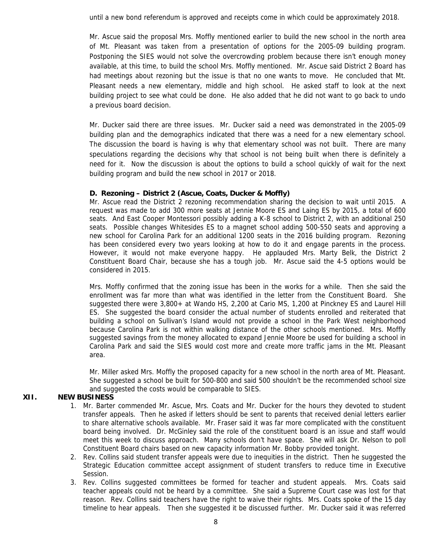until a new bond referendum is approved and receipts come in which could be approximately 2018.

Mr. Ascue said the proposal Mrs. Moffly mentioned earlier to build the new school in the north area of Mt. Pleasant was taken from a presentation of options for the 2005-09 building program. Postponing the SIES would not solve the overcrowding problem because there isn't enough money available, at this time, to build the school Mrs. Moffly mentioned. Mr. Ascue said District 2 Board has had meetings about rezoning but the issue is that no one wants to move. He concluded that Mt. Pleasant needs a new elementary, middle and high school. He asked staff to look at the next building project to see what could be done. He also added that he did not want to go back to undo a previous board decision.

Mr. Ducker said there are three issues. Mr. Ducker said a need was demonstrated in the 2005-09 building plan and the demographics indicated that there was a need for a new elementary school. The discussion the board is having is why that elementary school was not built. There are many speculations regarding the decisions why that school is not being built when there is definitely a need for it. Now the discussion is about the options to build a school quickly of wait for the next building program and build the new school in 2017 or 2018.

### **D. Rezoning – District 2 (Ascue, Coats, Ducker & Moffly)**

Mr. Ascue read the District 2 rezoning recommendation sharing the decision to wait until 2015. A request was made to add 300 more seats at Jennie Moore ES and Laing ES by 2015, a total of 600 seats. And East Cooper Montessori possibly adding a K-8 school to District 2, with an additional 250 seats. Possible changes Whitesides ES to a magnet school adding 500-550 seats and approving a new school for Carolina Park for an additional 1200 seats in the 2016 building program. Rezoning has been considered every two years looking at how to do it and engage parents in the process. However, it would not make everyone happy. He applauded Mrs. Marty Belk, the District 2 Constituent Board Chair, because she has a tough job. Mr. Ascue said the 4-5 options would be considered in 2015.

Mrs. Moffly confirmed that the zoning issue has been in the works for a while. Then she said the enrollment was far more than what was identified in the letter from the Constituent Board. She suggested there were 3,800+ at Wando HS, 2,200 at Cario MS, 1,200 at Pinckney ES and Laurel Hill ES. She suggested the board consider the actual number of students enrolled and reiterated that building a school on Sullivan's Island would not provide a school in the Park West neighborhood because Carolina Park is not within walking distance of the other schools mentioned. Mrs. Moffly suggested savings from the money allocated to expand Jennie Moore be used for building a school in Carolina Park and said the SIES would cost more and create more traffic jams in the Mt. Pleasant area.

Mr. Miller asked Mrs. Moffly the proposed capacity for a new school in the north area of Mt. Pleasant. She suggested a school be built for 500-800 and said 500 shouldn't be the recommended school size and suggested the costs would be comparable to SIES.

## **XII. NEW BUSINESS**

- 1. Mr. Barter commended Mr. Ascue, Mrs. Coats and Mr. Ducker for the hours they devoted to student transfer appeals. Then he asked if letters should be sent to parents that received denial letters earlier to share alternative schools available. Mr. Fraser said it was far more complicated with the constituent board being involved. Dr. McGinley said the role of the constituent board is an issue and staff would meet this week to discuss approach. Many schools don't have space. She will ask Dr. Nelson to poll Constituent Board chairs based on new capacity information Mr. Bobby provided tonight.
- 2. Rev. Collins said student transfer appeals were due to inequities in the district. Then he suggested the Strategic Education committee accept assignment of student transfers to reduce time in Executive Session.
- 3. Rev. Collins suggested committees be formed for teacher and student appeals. Mrs. Coats said teacher appeals could not be heard by a committee. She said a Supreme Court case was lost for that reason. Rev. Collins said teachers have the right to waive their rights. Mrs. Coats spoke of the 15 day timeline to hear appeals. Then she suggested it be discussed further. Mr. Ducker said it was referred